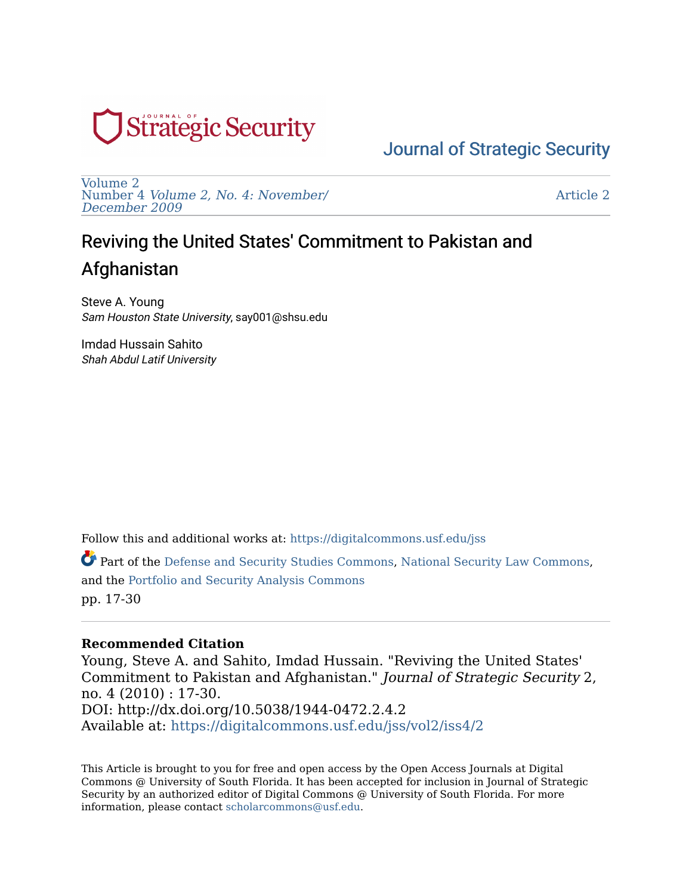

[Volume 2](https://digitalcommons.usf.edu/jss/vol2)  Number 4 [Volume 2, No. 4: November/](https://digitalcommons.usf.edu/jss/vol2/iss4) [December 2009](https://digitalcommons.usf.edu/jss/vol2/iss4) 

[Article 2](https://digitalcommons.usf.edu/jss/vol2/iss4/2) 

# Reviving the United States' Commitment to Pakistan and Afghanistan

Steve A. Young Sam Houston State University, say001@shsu.edu

Imdad Hussain Sahito Shah Abdul Latif University

Follow this and additional works at: [https://digitalcommons.usf.edu/jss](https://digitalcommons.usf.edu/jss?utm_source=digitalcommons.usf.edu%2Fjss%2Fvol2%2Fiss4%2F2&utm_medium=PDF&utm_campaign=PDFCoverPages)

Part of the [Defense and Security Studies Commons,](http://network.bepress.com/hgg/discipline/394?utm_source=digitalcommons.usf.edu%2Fjss%2Fvol2%2Fiss4%2F2&utm_medium=PDF&utm_campaign=PDFCoverPages) [National Security Law Commons,](http://network.bepress.com/hgg/discipline/1114?utm_source=digitalcommons.usf.edu%2Fjss%2Fvol2%2Fiss4%2F2&utm_medium=PDF&utm_campaign=PDFCoverPages) and the [Portfolio and Security Analysis Commons](http://network.bepress.com/hgg/discipline/640?utm_source=digitalcommons.usf.edu%2Fjss%2Fvol2%2Fiss4%2F2&utm_medium=PDF&utm_campaign=PDFCoverPages)  pp. 17-30

#### **Recommended Citation**

Young, Steve A. and Sahito, Imdad Hussain. "Reviving the United States' Commitment to Pakistan and Afghanistan." Journal of Strategic Security 2, no. 4 (2010) : 17-30. DOI: http://dx.doi.org/10.5038/1944-0472.2.4.2 Available at: [https://digitalcommons.usf.edu/jss/vol2/iss4/2](https://digitalcommons.usf.edu/jss/vol2/iss4/2?utm_source=digitalcommons.usf.edu%2Fjss%2Fvol2%2Fiss4%2F2&utm_medium=PDF&utm_campaign=PDFCoverPages)

This Article is brought to you for free and open access by the Open Access Journals at Digital Commons @ University of South Florida. It has been accepted for inclusion in Journal of Strategic Security by an authorized editor of Digital Commons @ University of South Florida. For more information, please contact [scholarcommons@usf.edu.](mailto:scholarcommons@usf.edu)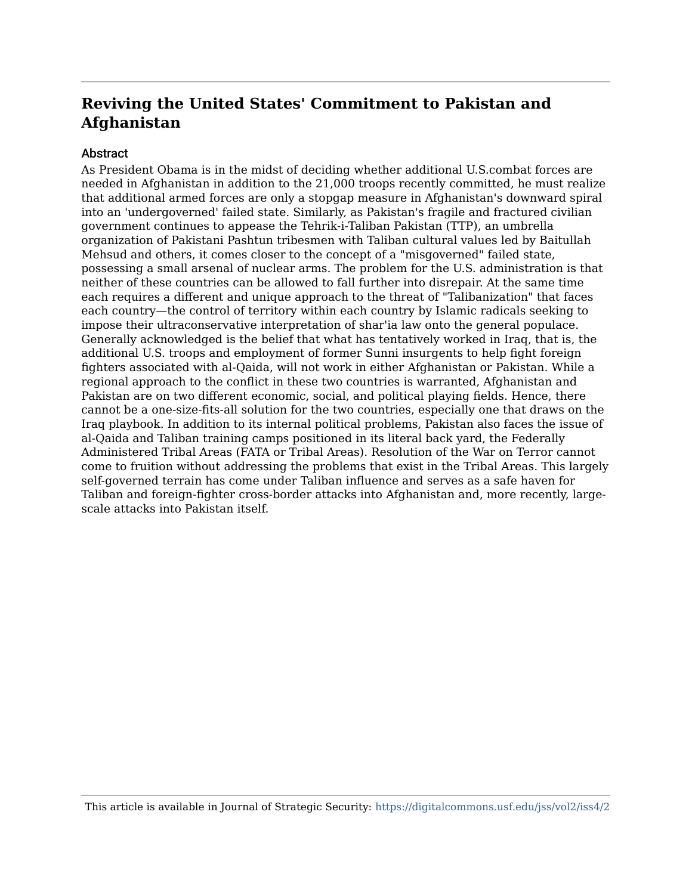#### **Abstract**

As President Obama is in the midst of deciding whether additional U.S.combat forces are needed in Afghanistan in addition to the 21,000 troops recently committed, he must realize that additional armed forces are only a stopgap measure in Afghanistan's downward spiral into an 'undergoverned' failed state. Similarly, as Pakistan's fragile and fractured civilian government continues to appease the Tehrik-i-Taliban Pakistan (TTP), an umbrella organization of Pakistani Pashtun tribesmen with Taliban cultural values led by Baitullah Mehsud and others, it comes closer to the concept of a "misgoverned" failed state, possessing a small arsenal of nuclear arms. The problem for the U.S. administration is that neither of these countries can be allowed to fall further into disrepair. At the same time each requires a different and unique approach to the threat of "Talibanization" that faces each country—the control of territory within each country by Islamic radicals seeking to impose their ultraconservative interpretation of shar'ia law onto the general populace. Generally acknowledged is the belief that what has tentatively worked in Iraq, that is, the additional U.S. troops and employment of former Sunni insurgents to help fight foreign fighters associated with al-Qaida, will not work in either Afghanistan or Pakistan. While a regional approach to the conflict in these two countries is warranted, Afghanistan and Pakistan are on two different economic, social, and political playing fields. Hence, there cannot be a one-size-fits-all solution for the two countries, especially one that draws on the Iraq playbook. In addition to its internal political problems, Pakistan also faces the issue of al-Qaida and Taliban training camps positioned in its literal back yard, the Federally Administered Tribal Areas (FATA or Tribal Areas). Resolution of the War on Terror cannot come to fruition without addressing the problems that exist in the Tribal Areas. This largely self-governed terrain has come under Taliban influence and serves as a safe haven for Taliban and foreign-fighter cross-border attacks into Afghanistan and, more recently, largescale attacks into Pakistan itself.

This article is available in Journal of Strategic Security: <https://digitalcommons.usf.edu/jss/vol2/iss4/2>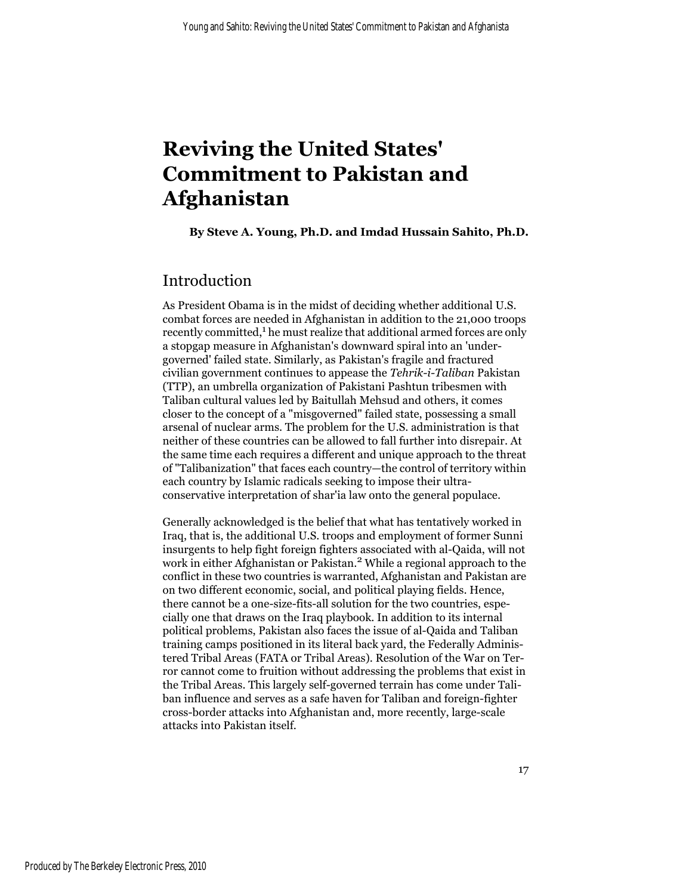**By Steve A. Young, Ph.D. and Imdad Hussain Sahito, Ph.D.**

## Introduction

As President Obama is in the midst of deciding whether additional U.S. combat forces are needed in Afghanistan in addition to the 21,000 troops recently committed,<sup>1</sup> he must realize that additional armed forces are only a stopgap measure in Afghanistan's downward spiral into an 'undergoverned' failed state. Similarly, as Pakistan's fragile and fractured civilian government continues to appease the *Tehrik-i-Taliban* Pakistan (TTP), an umbrella organization of Pakistani Pashtun tribesmen with Taliban cultural values led by Baitullah Mehsud and others, it comes closer to the concept of a "misgoverned" failed state, possessing a small arsenal of nuclear arms. The problem for the U.S. administration is that neither of these countries can be allowed to fall further into disrepair. At the same time each requires a different and unique approach to the threat of "Talibanization" that faces each country—the control of territory within each country by Islamic radicals seeking to impose their ultraconservative interpretation of shar'ia law onto the general populace.

Generally acknowledged is the belief that what has tentatively worked in Iraq, that is, the additional U.S. troops and employment of former Sunni insurgents to help fight foreign fighters associated with al-Qaida, will not work in either Afghanistan or Pakistan.<sup>2</sup> While a regional approach to the conflict in these two countries is warranted, Afghanistan and Pakistan are on two different economic, social, and political playing fields. Hence, there cannot be a one-size-fits-all solution for the two countries, especially one that draws on the Iraq playbook. In addition to its internal political problems, Pakistan also faces the issue of al-Qaida and Taliban training camps positioned in its literal back yard, the Federally Administered Tribal Areas (FATA or Tribal Areas). Resolution of the War on Terror cannot come to fruition without addressing the problems that exist in the Tribal Areas. This largely self-governed terrain has come under Taliban influence and serves as a safe haven for Taliban and foreign-fighter cross-border attacks into Afghanistan and, more recently, large-scale attacks into Pakistan itself.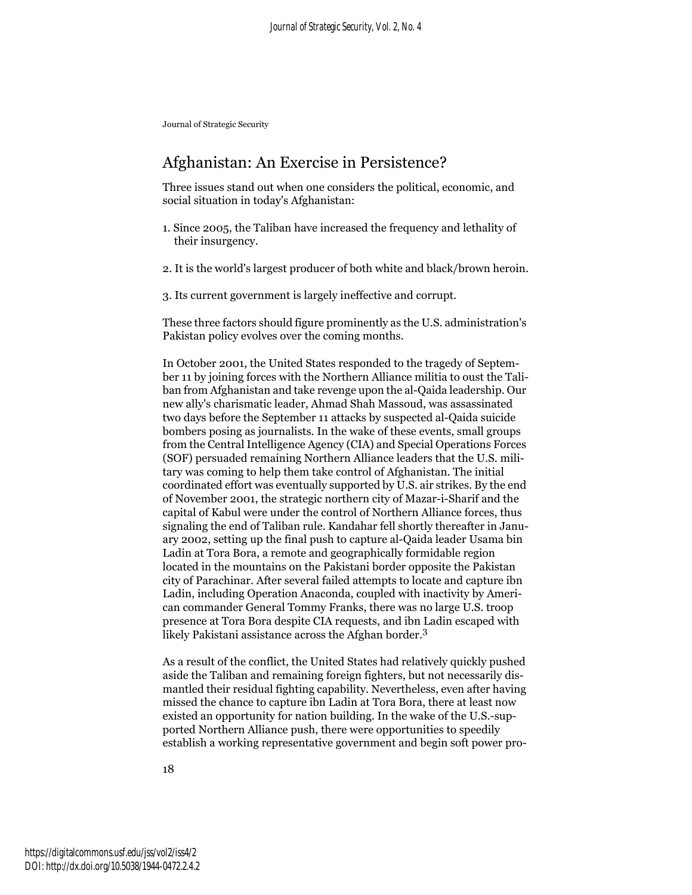## Afghanistan: An Exercise in Persistence?

Three issues stand out when one considers the political, economic, and social situation in today's Afghanistan:

- 1. Since 2005, the Taliban have increased the frequency and lethality of their insurgency.
- 2. It is the world's largest producer of both white and black/brown heroin.
- 3. Its current government is largely ineffective and corrupt.

These three factors should figure prominently as the U.S. administration's Pakistan policy evolves over the coming months.

In October 2001, the United States responded to the tragedy of September 11 by joining forces with the Northern Alliance militia to oust the Taliban from Afghanistan and take revenge upon the al-Qaida leadership. Our new ally's charismatic leader, Ahmad Shah Massoud, was assassinated two days before the September 11 attacks by suspected al-Qaida suicide bombers posing as journalists. In the wake of these events, small groups from the Central Intelligence Agency (CIA) and Special Operations Forces (SOF) persuaded remaining Northern Alliance leaders that the U.S. military was coming to help them take control of Afghanistan. The initial coordinated effort was eventually supported by U.S. air strikes. By the end of November 2001, the strategic northern city of Mazar-i-Sharif and the capital of Kabul were under the control of Northern Alliance forces, thus signaling the end of Taliban rule. Kandahar fell shortly thereafter in January 2002, setting up the final push to capture al-Qaida leader Usama bin Ladin at Tora Bora, a remote and geographically formidable region located in the mountains on the Pakistani border opposite the Pakistan city of Parachinar. After several failed attempts to locate and capture ibn Ladin, including Operation Anaconda, coupled with inactivity by American commander General Tommy Franks, there was no large U.S. troop presence at Tora Bora despite CIA requests, and ibn Ladin escaped with likely Pakistani assistance across the Afghan border.<sup>3</sup>

As a result of the conflict, the United States had relatively quickly pushed aside the Taliban and remaining foreign fighters, but not necessarily dismantled their residual fighting capability. Nevertheless, even after having missed the chance to capture ibn Ladin at Tora Bora, there at least now existed an opportunity for nation building. In the wake of the U.S.-supported Northern Alliance push, there were opportunities to speedily establish a working representative government and begin soft power pro-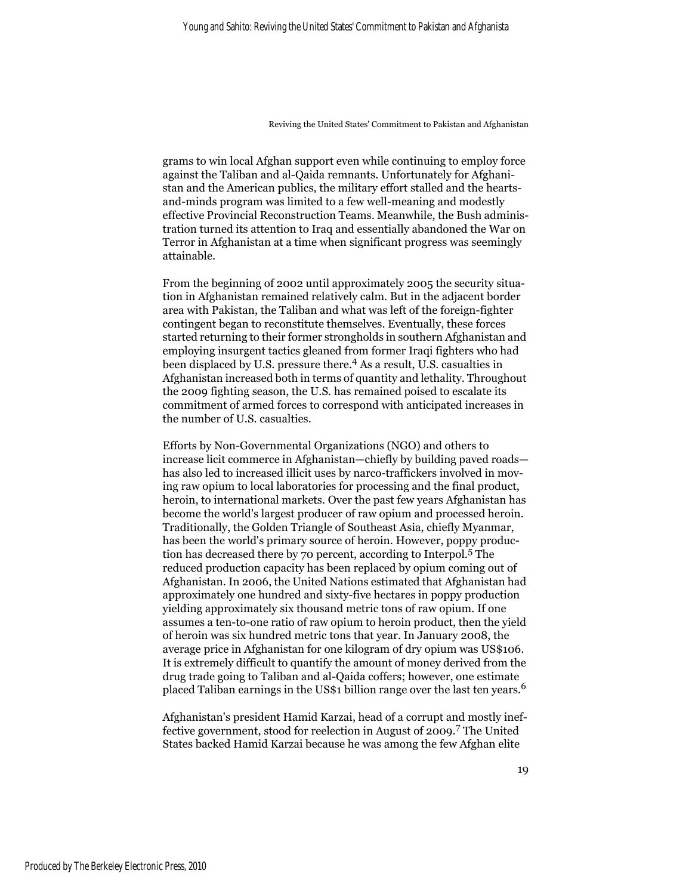grams to win local Afghan support even while continuing to employ force against the Taliban and al-Qaida remnants. Unfortunately for Afghanistan and the American publics, the military effort stalled and the heartsand-minds program was limited to a few well-meaning and modestly effective Provincial Reconstruction Teams. Meanwhile, the Bush administration turned its attention to Iraq and essentially abandoned the War on Terror in Afghanistan at a time when significant progress was seemingly attainable.

From the beginning of 2002 until approximately 2005 the security situation in Afghanistan remained relatively calm. But in the adjacent border area with Pakistan, the Taliban and what was left of the foreign-fighter contingent began to reconstitute themselves. Eventually, these forces started returning to their former strongholds in southern Afghanistan and employing insurgent tactics gleaned from former Iraqi fighters who had been displaced by U.S. pressure there.4 As a result, U.S. casualties in Afghanistan increased both in terms of quantity and lethality. Throughout the 2009 fighting season, the U.S. has remained poised to escalate its commitment of armed forces to correspond with anticipated increases in the number of U.S. casualties.

Efforts by Non-Governmental Organizations (NGO) and others to increase licit commerce in Afghanistan—chiefly by building paved roads has also led to increased illicit uses by narco-traffickers involved in moving raw opium to local laboratories for processing and the final product, heroin, to international markets. Over the past few years Afghanistan has become the world's largest producer of raw opium and processed heroin. Traditionally, the Golden Triangle of Southeast Asia, chiefly Myanmar, has been the world's primary source of heroin. However, poppy production has decreased there by 70 percent, according to Interpol.5 The reduced production capacity has been replaced by opium coming out of Afghanistan. In 2006, the United Nations estimated that Afghanistan had approximately one hundred and sixty-five hectares in poppy production yielding approximately six thousand metric tons of raw opium. If one assumes a ten-to-one ratio of raw opium to heroin product, then the yield of heroin was six hundred metric tons that year. In January 2008, the average price in Afghanistan for one kilogram of dry opium was US\$106. It is extremely difficult to quantify the amount of money derived from the drug trade going to Taliban and al-Qaida coffers; however, one estimate placed Taliban earnings in the US\$1 billion range over the last ten years.<sup>6</sup>

Afghanistan's president Hamid Karzai, head of a corrupt and mostly ineffective government, stood for reelection in August of 2009.7 The United States backed Hamid Karzai because he was among the few Afghan elite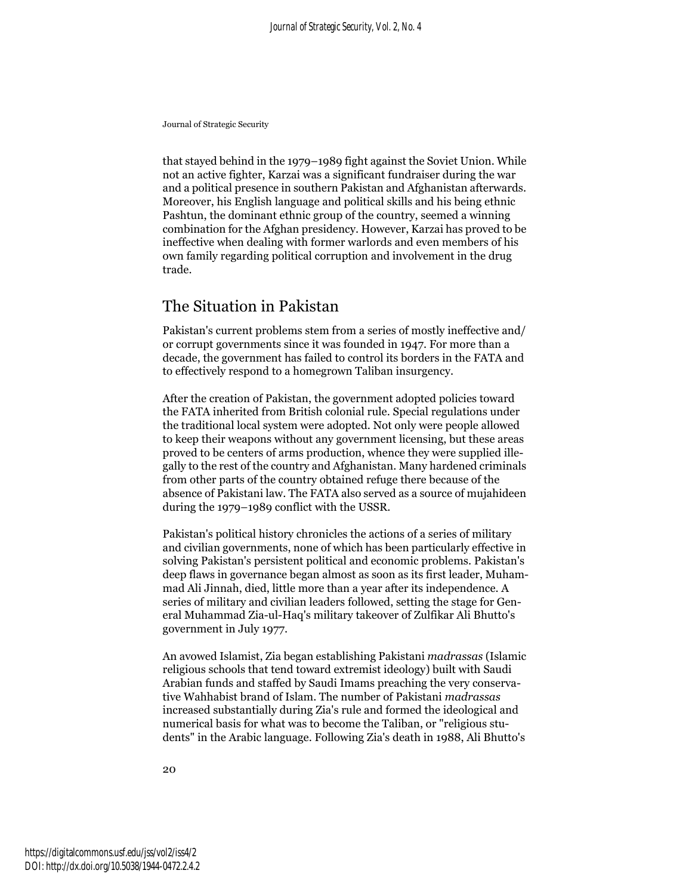that stayed behind in the 1979–1989 fight against the Soviet Union. While not an active fighter, Karzai was a significant fundraiser during the war and a political presence in southern Pakistan and Afghanistan afterwards. Moreover, his English language and political skills and his being ethnic Pashtun, the dominant ethnic group of the country, seemed a winning combination for the Afghan presidency. However, Karzai has proved to be ineffective when dealing with former warlords and even members of his own family regarding political corruption and involvement in the drug trade.

## The Situation in Pakistan

Pakistan's current problems stem from a series of mostly ineffective and/ or corrupt governments since it was founded in 1947. For more than a decade, the government has failed to control its borders in the FATA and to effectively respond to a homegrown Taliban insurgency.

After the creation of Pakistan, the government adopted policies toward the FATA inherited from British colonial rule. Special regulations under the traditional local system were adopted. Not only were people allowed to keep their weapons without any government licensing, but these areas proved to be centers of arms production, whence they were supplied illegally to the rest of the country and Afghanistan. Many hardened criminals from other parts of the country obtained refuge there because of the absence of Pakistani law. The FATA also served as a source of mujahideen during the 1979–1989 conflict with the USSR.

Pakistan's political history chronicles the actions of a series of military and civilian governments, none of which has been particularly effective in solving Pakistan's persistent political and economic problems. Pakistan's deep flaws in governance began almost as soon as its first leader, Muhammad Ali Jinnah, died, little more than a year after its independence. A series of military and civilian leaders followed, setting the stage for General Muhammad Zia-ul-Haq's military takeover of Zulfikar Ali Bhutto's government in July 1977.

An avowed Islamist, Zia began establishing Pakistani *madrassas* (Islamic religious schools that tend toward extremist ideology) built with Saudi Arabian funds and staffed by Saudi Imams preaching the very conservative Wahhabist brand of Islam. The number of Pakistani *madrassas* increased substantially during Zia's rule and formed the ideological and numerical basis for what was to become the Taliban, or "religious students" in the Arabic language. Following Zia's death in 1988, Ali Bhutto's

20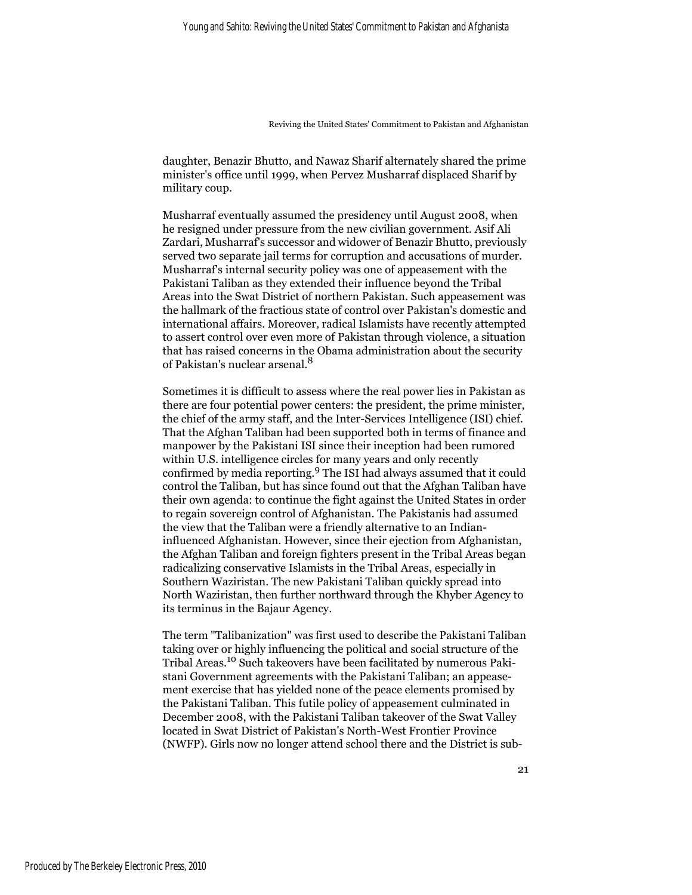daughter, Benazir Bhutto, and Nawaz Sharif alternately shared the prime minister's office until 1999, when Pervez Musharraf displaced Sharif by military coup.

Musharraf eventually assumed the presidency until August 2008, when he resigned under pressure from the new civilian government. Asif Ali Zardari, Musharraf's successor and widower of Benazir Bhutto, previously served two separate jail terms for corruption and accusations of murder. Musharraf's internal security policy was one of appeasement with the Pakistani Taliban as they extended their influence beyond the Tribal Areas into the Swat District of northern Pakistan. Such appeasement was the hallmark of the fractious state of control over Pakistan's domestic and international affairs. Moreover, radical Islamists have recently attempted to assert control over even more of Pakistan through violence, a situation that has raised concerns in the Obama administration about the security of Pakistan's nuclear arsenal.<sup>8</sup>

Sometimes it is difficult to assess where the real power lies in Pakistan as there are four potential power centers: the president, the prime minister, the chief of the army staff, and the Inter-Services Intelligence (ISI) chief. That the Afghan Taliban had been supported both in terms of finance and manpower by the Pakistani ISI since their inception had been rumored within U.S. intelligence circles for many years and only recently confirmed by media reporting.9 The ISI had always assumed that it could control the Taliban, but has since found out that the Afghan Taliban have their own agenda: to continue the fight against the United States in order to regain sovereign control of Afghanistan. The Pakistanis had assumed the view that the Taliban were a friendly alternative to an Indianinfluenced Afghanistan. However, since their ejection from Afghanistan, the Afghan Taliban and foreign fighters present in the Tribal Areas began radicalizing conservative Islamists in the Tribal Areas, especially in Southern Waziristan. The new Pakistani Taliban quickly spread into North Waziristan, then further northward through the Khyber Agency to its terminus in the Bajaur Agency.

The term "Talibanization" was first used to describe the Pakistani Taliban taking over or highly influencing the political and social structure of the Tribal Areas.10 Such takeovers have been facilitated by numerous Pakistani Government agreements with the Pakistani Taliban; an appeasement exercise that has yielded none of the peace elements promised by the Pakistani Taliban. This futile policy of appeasement culminated in December 2008, with the Pakistani Taliban takeover of the Swat Valley located in Swat District of Pakistan's North-West Frontier Province (NWFP). Girls now no longer attend school there and the District is sub-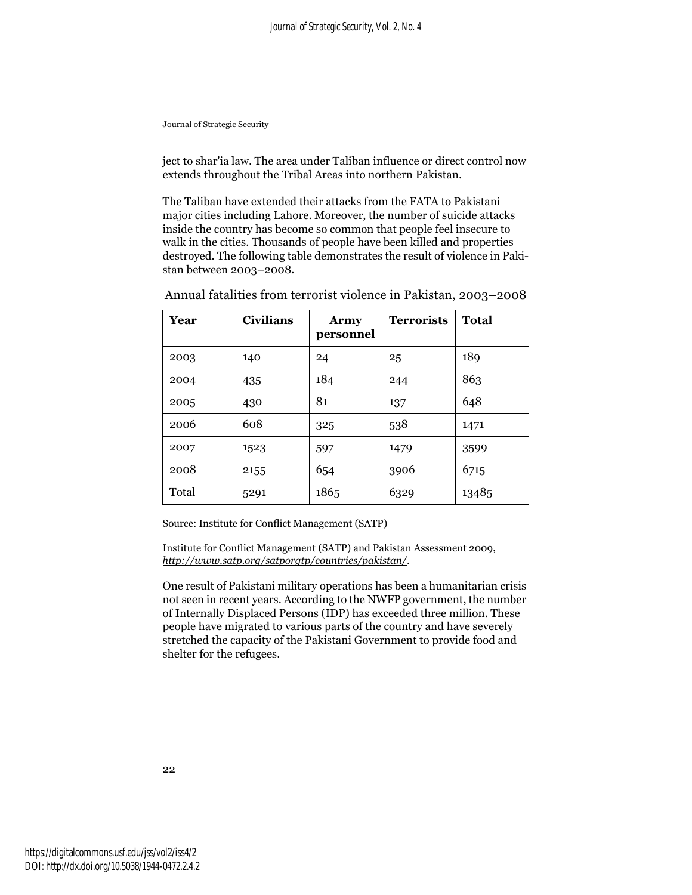ject to shar'ia law. The area under Taliban influence or direct control now extends throughout the Tribal Areas into northern Pakistan.

The Taliban have extended their attacks from the FATA to Pakistani major cities including Lahore. Moreover, the number of suicide attacks inside the country has become so common that people feel insecure to walk in the cities. Thousands of people have been killed and properties destroyed. The following table demonstrates the result of violence in Pakistan between 2003–2008.

| Year  | <b>Civilians</b> | <b>Army</b><br>personnel | <b>Terrorists</b> | <b>Total</b> |
|-------|------------------|--------------------------|-------------------|--------------|
| 2003  | 140              | 24                       | 25                | 189          |
| 2004  | 435              | 184                      | 244               | 863          |
| 2005  | 430              | 81                       | 137               | 648          |
| 2006  | 608              | 325                      | 538               | 1471         |
| 2007  | 1523             | 597                      | 1479              | 3599         |
| 2008  | 2155             | 654                      | 3906              | 6715         |
| Total | 5291             | 1865                     | 6329              | 13485        |

Annual fatalities from terrorist violence in Pakistan, 2003–2008

Source: Institute for Conflict Management (SATP)

Institute for Conflict Management (SATP) and Pakistan Assessment 2009, *http://www.satp.org/satporgtp/countries/pakistan/*.

One result of Pakistani military operations has been a humanitarian crisis not seen in recent years. According to the NWFP government, the number of Internally Displaced Persons (IDP) has exceeded three million. These people have migrated to various parts of the country and have severely stretched the capacity of the Pakistani Government to provide food and shelter for the refugees.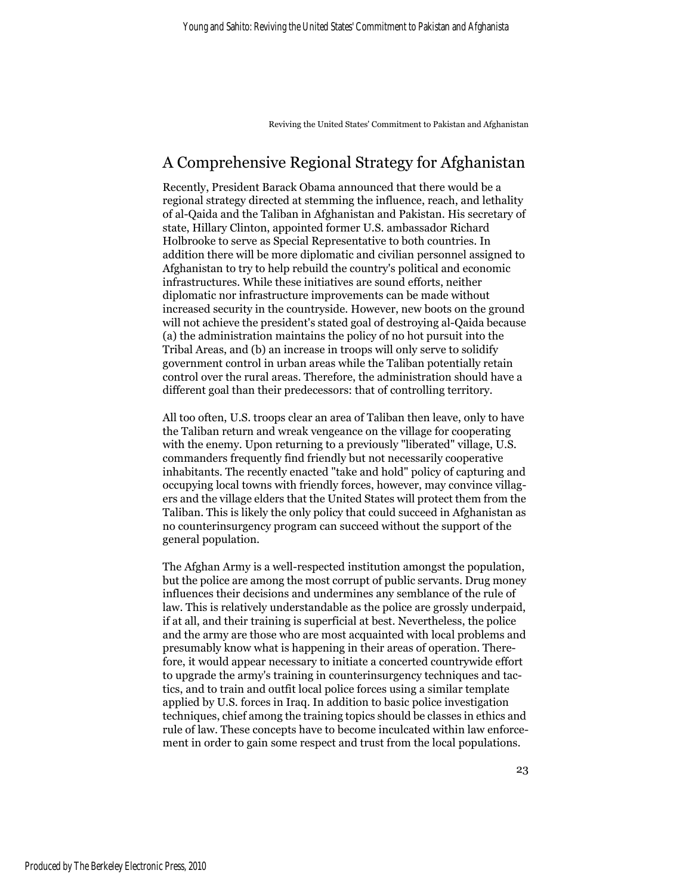## A Comprehensive Regional Strategy for Afghanistan

Recently, President Barack Obama announced that there would be a regional strategy directed at stemming the influence, reach, and lethality of al-Qaida and the Taliban in Afghanistan and Pakistan. His secretary of state, Hillary Clinton, appointed former U.S. ambassador Richard Holbrooke to serve as Special Representative to both countries. In addition there will be more diplomatic and civilian personnel assigned to Afghanistan to try to help rebuild the country's political and economic infrastructures. While these initiatives are sound efforts, neither diplomatic nor infrastructure improvements can be made without increased security in the countryside. However, new boots on the ground will not achieve the president's stated goal of destroying al-Qaida because (a) the administration maintains the policy of no hot pursuit into the Tribal Areas, and (b) an increase in troops will only serve to solidify government control in urban areas while the Taliban potentially retain control over the rural areas. Therefore, the administration should have a different goal than their predecessors: that of controlling territory.

All too often, U.S. troops clear an area of Taliban then leave, only to have the Taliban return and wreak vengeance on the village for cooperating with the enemy. Upon returning to a previously "liberated" village, U.S. commanders frequently find friendly but not necessarily cooperative inhabitants. The recently enacted "take and hold" policy of capturing and occupying local towns with friendly forces, however, may convince villagers and the village elders that the United States will protect them from the Taliban. This is likely the only policy that could succeed in Afghanistan as no counterinsurgency program can succeed without the support of the general population.

The Afghan Army is a well-respected institution amongst the population, but the police are among the most corrupt of public servants. Drug money influences their decisions and undermines any semblance of the rule of law. This is relatively understandable as the police are grossly underpaid, if at all, and their training is superficial at best. Nevertheless, the police and the army are those who are most acquainted with local problems and presumably know what is happening in their areas of operation. Therefore, it would appear necessary to initiate a concerted countrywide effort to upgrade the army's training in counterinsurgency techniques and tactics, and to train and outfit local police forces using a similar template applied by U.S. forces in Iraq. In addition to basic police investigation techniques, chief among the training topics should be classes in ethics and rule of law. These concepts have to become inculcated within law enforcement in order to gain some respect and trust from the local populations.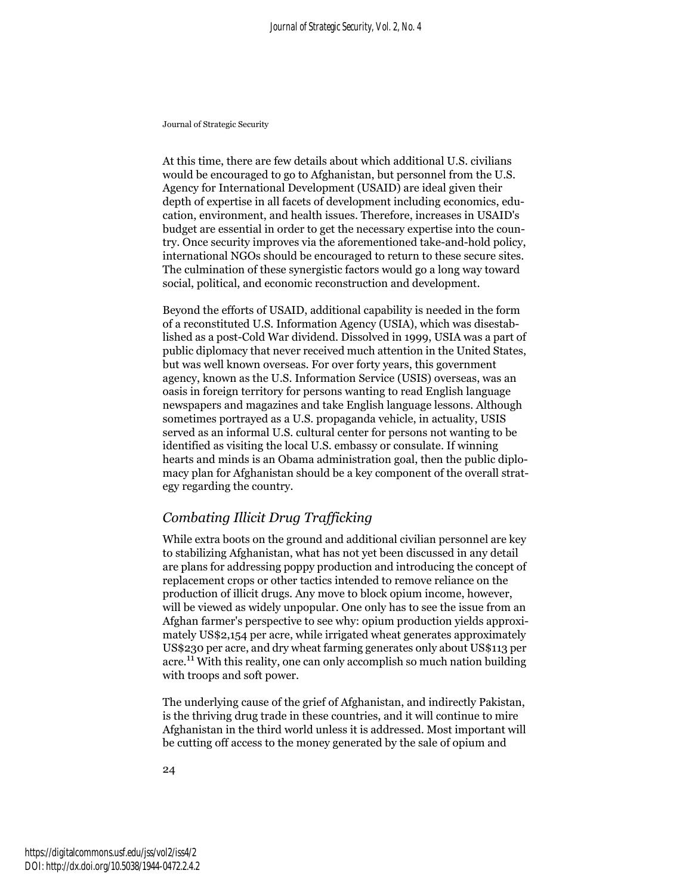At this time, there are few details about which additional U.S. civilians would be encouraged to go to Afghanistan, but personnel from the U.S. Agency for International Development (USAID) are ideal given their depth of expertise in all facets of development including economics, education, environment, and health issues. Therefore, increases in USAID's budget are essential in order to get the necessary expertise into the country. Once security improves via the aforementioned take-and-hold policy, international NGOs should be encouraged to return to these secure sites. The culmination of these synergistic factors would go a long way toward social, political, and economic reconstruction and development.

Beyond the efforts of USAID, additional capability is needed in the form of a reconstituted U.S. Information Agency (USIA), which was disestablished as a post-Cold War dividend. Dissolved in 1999, USIA was a part of public diplomacy that never received much attention in the United States, but was well known overseas. For over forty years, this government agency, known as the U.S. Information Service (USIS) overseas, was an oasis in foreign territory for persons wanting to read English language newspapers and magazines and take English language lessons. Although sometimes portrayed as a U.S. propaganda vehicle, in actuality, USIS served as an informal U.S. cultural center for persons not wanting to be identified as visiting the local U.S. embassy or consulate. If winning hearts and minds is an Obama administration goal, then the public diplomacy plan for Afghanistan should be a key component of the overall strategy regarding the country.

#### *Combating Illicit Drug Trafficking*

While extra boots on the ground and additional civilian personnel are key to stabilizing Afghanistan, what has not yet been discussed in any detail are plans for addressing poppy production and introducing the concept of replacement crops or other tactics intended to remove reliance on the production of illicit drugs. Any move to block opium income, however, will be viewed as widely unpopular. One only has to see the issue from an Afghan farmer's perspective to see why: opium production yields approximately US\$2,154 per acre, while irrigated wheat generates approximately US\$230 per acre, and dry wheat farming generates only about US\$113 per acre.<sup>11</sup> With this reality, one can only accomplish so much nation building with troops and soft power.

The underlying cause of the grief of Afghanistan, and indirectly Pakistan, is the thriving drug trade in these countries, and it will continue to mire Afghanistan in the third world unless it is addressed. Most important will be cutting off access to the money generated by the sale of opium and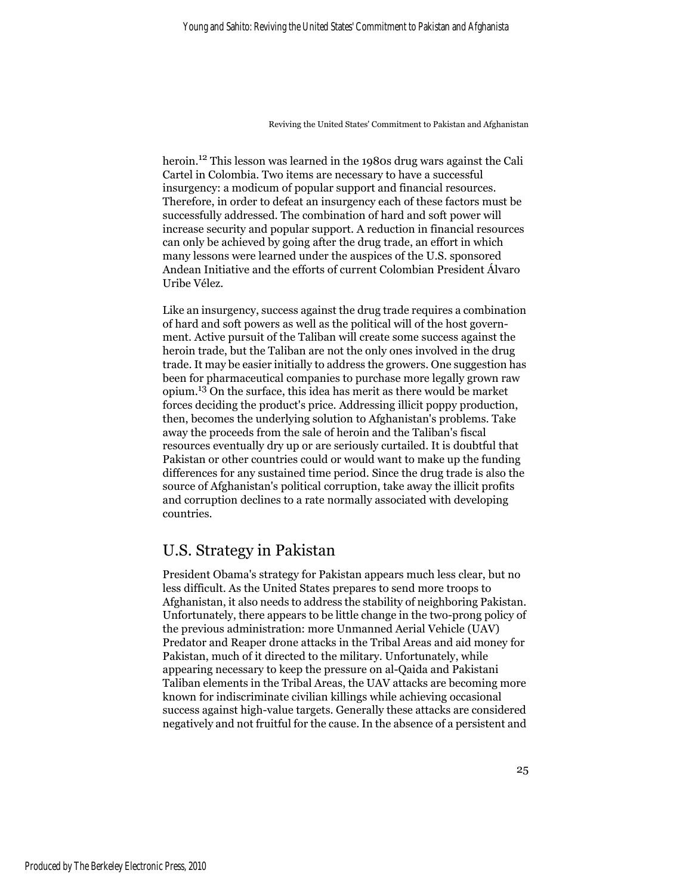heroin.12 This lesson was learned in the 1980s drug wars against the Cali Cartel in Colombia. Two items are necessary to have a successful insurgency: a modicum of popular support and financial resources. Therefore, in order to defeat an insurgency each of these factors must be successfully addressed. The combination of hard and soft power will increase security and popular support. A reduction in financial resources can only be achieved by going after the drug trade, an effort in which many lessons were learned under the auspices of the U.S. sponsored Andean Initiative and the efforts of current Colombian President Álvaro Uribe Vélez.

Like an insurgency, success against the drug trade requires a combination of hard and soft powers as well as the political will of the host government. Active pursuit of the Taliban will create some success against the heroin trade, but the Taliban are not the only ones involved in the drug trade. It may be easier initially to address the growers. One suggestion has been for pharmaceutical companies to purchase more legally grown raw opium.13 On the surface, this idea has merit as there would be market forces deciding the product's price. Addressing illicit poppy production, then, becomes the underlying solution to Afghanistan's problems. Take away the proceeds from the sale of heroin and the Taliban's fiscal resources eventually dry up or are seriously curtailed. It is doubtful that Pakistan or other countries could or would want to make up the funding differences for any sustained time period. Since the drug trade is also the source of Afghanistan's political corruption, take away the illicit profits and corruption declines to a rate normally associated with developing countries.

### U.S. Strategy in Pakistan

President Obama's strategy for Pakistan appears much less clear, but no less difficult. As the United States prepares to send more troops to Afghanistan, it also needs to address the stability of neighboring Pakistan. Unfortunately, there appears to be little change in the two-prong policy of the previous administration: more Unmanned Aerial Vehicle (UAV) Predator and Reaper drone attacks in the Tribal Areas and aid money for Pakistan, much of it directed to the military. Unfortunately, while appearing necessary to keep the pressure on al-Qaida and Pakistani Taliban elements in the Tribal Areas, the UAV attacks are becoming more known for indiscriminate civilian killings while achieving occasional success against high-value targets. Generally these attacks are considered negatively and not fruitful for the cause. In the absence of a persistent and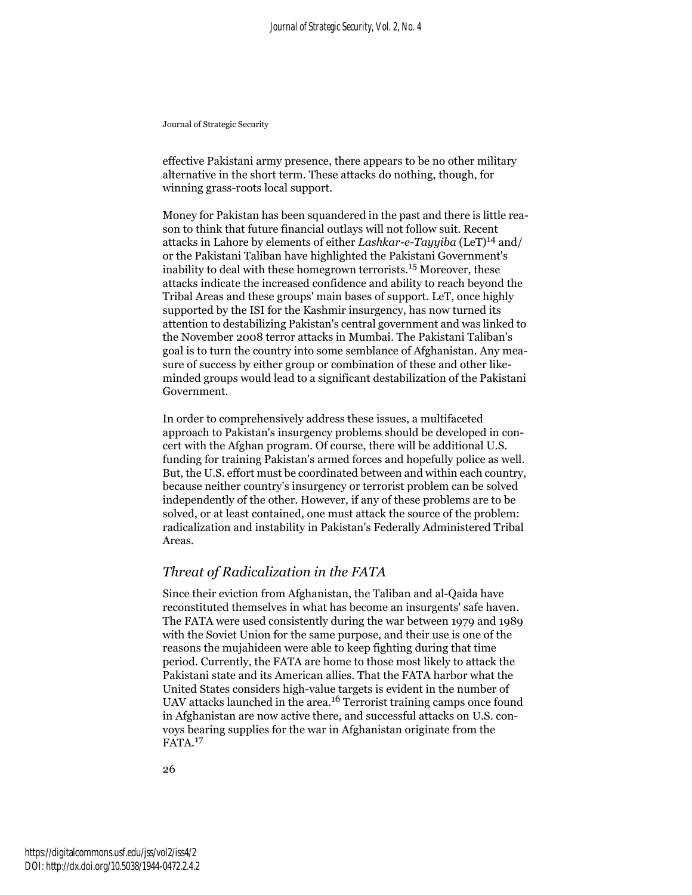effective Pakistani army presence, there appears to be no other military alternative in the short term. These attacks do nothing, though, for winning grass-roots local support.

Money for Pakistan has been squandered in the past and there is little reason to think that future financial outlays will not follow suit. Recent attacks in Lahore by elements of either *Lashkar-e-Tayyiba* (LeT)14 and/ or the Pakistani Taliban have highlighted the Pakistani Government's inability to deal with these homegrown terrorists.15 Moreover, these attacks indicate the increased confidence and ability to reach beyond the Tribal Areas and these groups' main bases of support. LeT, once highly supported by the ISI for the Kashmir insurgency, has now turned its attention to destabilizing Pakistan's central government and was linked to the November 2008 terror attacks in Mumbai. The Pakistani Taliban's goal is to turn the country into some semblance of Afghanistan. Any measure of success by either group or combination of these and other likeminded groups would lead to a significant destabilization of the Pakistani Government.

In order to comprehensively address these issues, a multifaceted approach to Pakistan's insurgency problems should be developed in concert with the Afghan program. Of course, there will be additional U.S. funding for training Pakistan's armed forces and hopefully police as well. But, the U.S. effort must be coordinated between and within each country, because neither country's insurgency or terrorist problem can be solved independently of the other. However, if any of these problems are to be solved, or at least contained, one must attack the source of the problem: radicalization and instability in Pakistan's Federally Administered Tribal Areas.

#### *Threat of Radicalization in the FATA*

Since their eviction from Afghanistan, the Taliban and al-Qaida have reconstituted themselves in what has become an insurgents' safe haven. The FATA were used consistently during the war between 1979 and 1989 with the Soviet Union for the same purpose, and their use is one of the reasons the mujahideen were able to keep fighting during that time period. Currently, the FATA are home to those most likely to attack the Pakistani state and its American allies. That the FATA harbor what the United States considers high-value targets is evident in the number of UAV attacks launched in the area.<sup>16</sup> Terrorist training camps once found in Afghanistan are now active there, and successful attacks on U.S. convoys bearing supplies for the war in Afghanistan originate from the FATA.<sup>17</sup>

26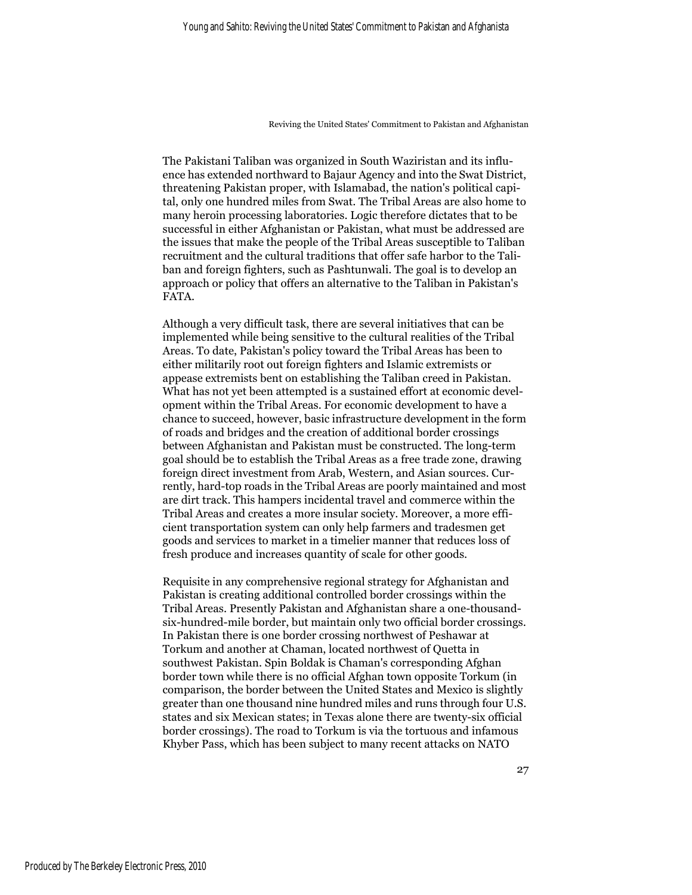The Pakistani Taliban was organized in South Waziristan and its influence has extended northward to Bajaur Agency and into the Swat District, threatening Pakistan proper, with Islamabad, the nation's political capital, only one hundred miles from Swat. The Tribal Areas are also home to many heroin processing laboratories. Logic therefore dictates that to be successful in either Afghanistan or Pakistan, what must be addressed are the issues that make the people of the Tribal Areas susceptible to Taliban recruitment and the cultural traditions that offer safe harbor to the Taliban and foreign fighters, such as Pashtunwali. The goal is to develop an approach or policy that offers an alternative to the Taliban in Pakistan's FATA.

Although a very difficult task, there are several initiatives that can be implemented while being sensitive to the cultural realities of the Tribal Areas. To date, Pakistan's policy toward the Tribal Areas has been to either militarily root out foreign fighters and Islamic extremists or appease extremists bent on establishing the Taliban creed in Pakistan. What has not yet been attempted is a sustained effort at economic development within the Tribal Areas. For economic development to have a chance to succeed, however, basic infrastructure development in the form of roads and bridges and the creation of additional border crossings between Afghanistan and Pakistan must be constructed. The long-term goal should be to establish the Tribal Areas as a free trade zone, drawing foreign direct investment from Arab, Western, and Asian sources. Currently, hard-top roads in the Tribal Areas are poorly maintained and most are dirt track. This hampers incidental travel and commerce within the Tribal Areas and creates a more insular society. Moreover, a more efficient transportation system can only help farmers and tradesmen get goods and services to market in a timelier manner that reduces loss of fresh produce and increases quantity of scale for other goods.

Requisite in any comprehensive regional strategy for Afghanistan and Pakistan is creating additional controlled border crossings within the Tribal Areas. Presently Pakistan and Afghanistan share a one-thousandsix-hundred-mile border, but maintain only two official border crossings. In Pakistan there is one border crossing northwest of Peshawar at Torkum and another at Chaman, located northwest of Quetta in southwest Pakistan. Spin Boldak is Chaman's corresponding Afghan border town while there is no official Afghan town opposite Torkum (in comparison, the border between the United States and Mexico is slightly greater than one thousand nine hundred miles and runs through four U.S. states and six Mexican states; in Texas alone there are twenty-six official border crossings). The road to Torkum is via the tortuous and infamous Khyber Pass, which has been subject to many recent attacks on NATO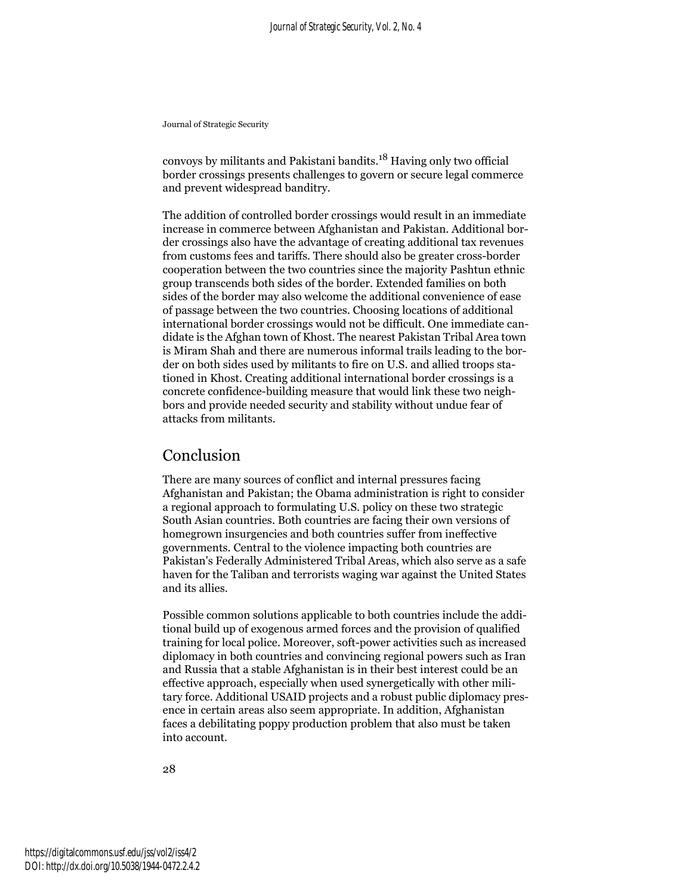convoys by militants and Pakistani bandits.18 Having only two official border crossings presents challenges to govern or secure legal commerce and prevent widespread banditry.

The addition of controlled border crossings would result in an immediate increase in commerce between Afghanistan and Pakistan. Additional border crossings also have the advantage of creating additional tax revenues from customs fees and tariffs. There should also be greater cross-border cooperation between the two countries since the majority Pashtun ethnic group transcends both sides of the border. Extended families on both sides of the border may also welcome the additional convenience of ease of passage between the two countries. Choosing locations of additional international border crossings would not be difficult. One immediate candidate is the Afghan town of Khost. The nearest Pakistan Tribal Area town is Miram Shah and there are numerous informal trails leading to the border on both sides used by militants to fire on U.S. and allied troops stationed in Khost. Creating additional international border crossings is a concrete confidence-building measure that would link these two neighbors and provide needed security and stability without undue fear of attacks from militants.

### Conclusion

There are many sources of conflict and internal pressures facing Afghanistan and Pakistan; the Obama administration is right to consider a regional approach to formulating U.S. policy on these two strategic South Asian countries. Both countries are facing their own versions of homegrown insurgencies and both countries suffer from ineffective governments. Central to the violence impacting both countries are Pakistan's Federally Administered Tribal Areas, which also serve as a safe haven for the Taliban and terrorists waging war against the United States and its allies.

Possible common solutions applicable to both countries include the additional build up of exogenous armed forces and the provision of qualified training for local police. Moreover, soft-power activities such as increased diplomacy in both countries and convincing regional powers such as Iran and Russia that a stable Afghanistan is in their best interest could be an effective approach, especially when used synergetically with other military force. Additional USAID projects and a robust public diplomacy presence in certain areas also seem appropriate. In addition, Afghanistan faces a debilitating poppy production problem that also must be taken into account.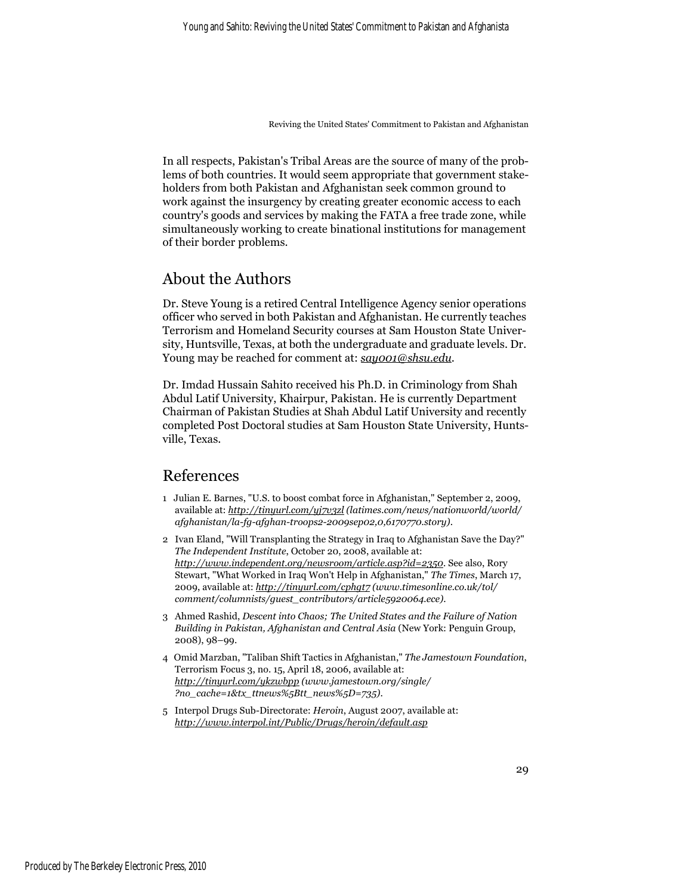In all respects, Pakistan's Tribal Areas are the source of many of the problems of both countries. It would seem appropriate that government stakeholders from both Pakistan and Afghanistan seek common ground to work against the insurgency by creating greater economic access to each country's goods and services by making the FATA a free trade zone, while simultaneously working to create binational institutions for management of their border problems.

## About the Authors

Dr. Steve Young is a retired Central Intelligence Agency senior operations officer who served in both Pakistan and Afghanistan. He currently teaches Terrorism and Homeland Security courses at Sam Houston State University, Huntsville, Texas, at both the undergraduate and graduate levels. Dr. Young may be reached for comment at: *say001@shsu.edu*.

Dr. Imdad Hussain Sahito received his Ph.D. in Criminology from Shah Abdul Latif University, Khairpur, Pakistan. He is currently Department Chairman of Pakistan Studies at Shah Abdul Latif University and recently completed Post Doctoral studies at Sam Houston State University, Huntsville, Texas.

### References

- 1 Julian E. Barnes, "U.S. to boost combat force in Afghanistan," September 2, 2009, available at: *http://tinyurl.com/yj7v3zl (latimes.com/news/nationworld/world/ afghanistan/la-fg-afghan-troops2-2009sep02,0,6170770.story)*.
- 2 Ivan Eland, "Will Transplanting the Strategy in Iraq to Afghanistan Save the Day?" *The Independent Institute*, October 20, 2008, available at: *http://www.independent.org/newsroom/article.asp?id=2350*. See also, Rory Stewart, "What Worked in Iraq Won't Help in Afghanistan," *The Times*, March 17, 2009, available at: *http://tinyurl.com/cphgt7 (www.timesonline.co.uk/tol/ comment/columnists/guest\_contributors/article5920064.ece)*.
- 3 Ahmed Rashid, *Descent into Chaos; The United States and the Failure of Nation Building in Pakistan, Afghanistan and Central Asia* (New York: Penguin Group, 2008), 98–99.
- 4 Omid Marzban, "Taliban Shift Tactics in Afghanistan," *The Jamestown Foundation*, Terrorism Focus 3, no. 15, April 18, 2006, available at: *http://tinyurl.com/ykzwbpp (www.jamestown.org/single/ ?no\_cache=1&tx\_ttnews%5Btt\_news%5D=735)*.
- 5 Interpol Drugs Sub-Directorate: *Heroin*, August 2007, available at: *http://www.interpol.int/Public/Drugs/heroin/default.asp*